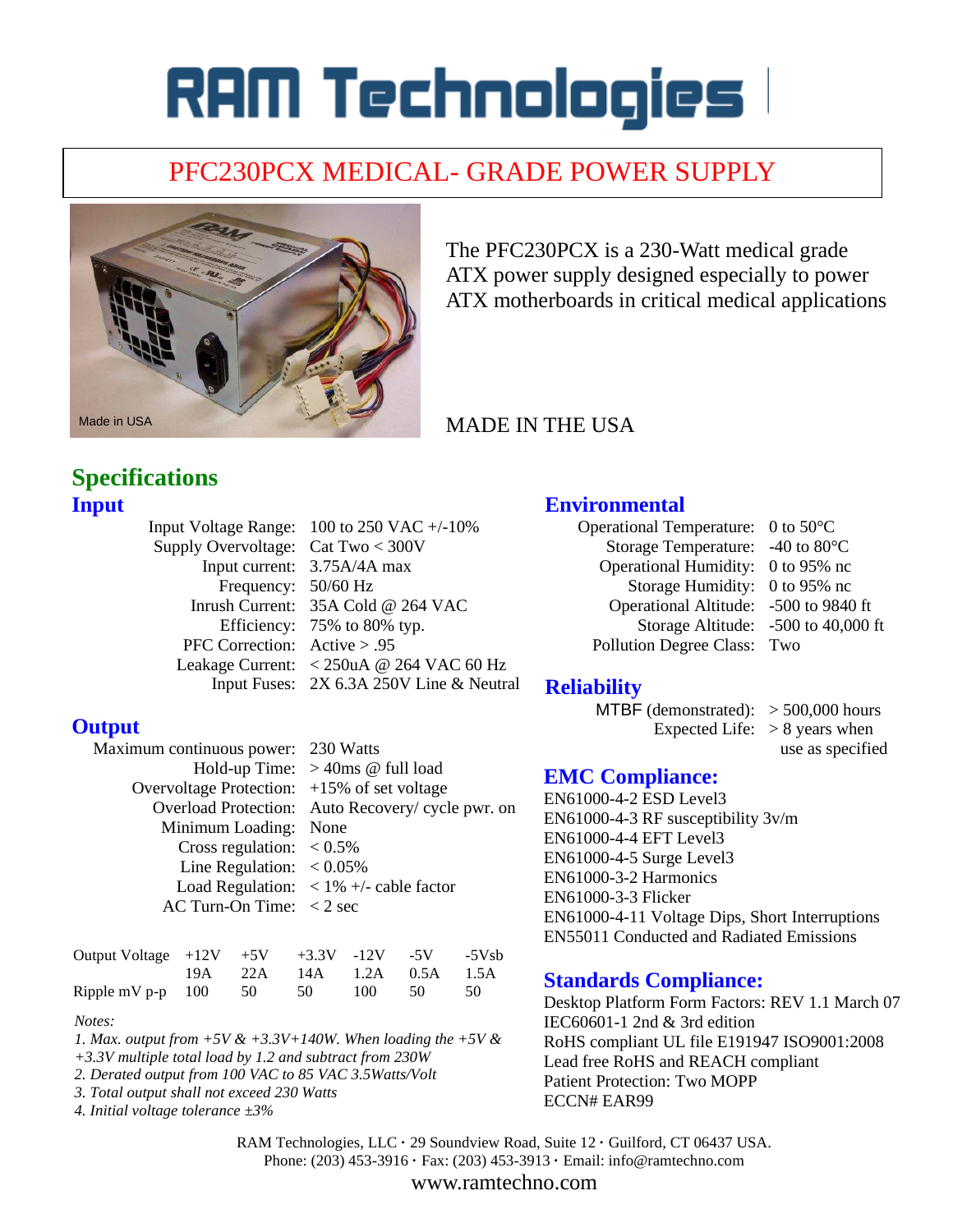# RAM Technologies l

# PFC230PCX MEDICAL- GRADE POWER SUPPLY



The PFC230PCX is a 230-Watt medical grade ATX power supply designed especially to power ATX motherboards in critical medical applications

# MADE IN THE USA

# **Specifications Input**

|                                      | Input Voltage Range: $100$ to 250 VAC $+/-10\%$ |
|--------------------------------------|-------------------------------------------------|
| Supply Overvoltage: Cat Two $<$ 300V |                                                 |
|                                      | Input current: 3.75A/4A max                     |
| Frequency: 50/60 Hz                  |                                                 |
|                                      | Inrush Current: 35A Cold @ 264 VAC              |
|                                      | Efficiency: 75% to 80% typ.                     |
| PFC Correction: $Active > .95$       |                                                 |
|                                      | Leakage Current: <250uA @ 264 VAC 60 Hz         |
|                                      | Input Fuses: 2X 6.3A 250V Line & Neutral        |

## **Environmental**

- Operational Temperature: 0 to 50°C Storage Temperature: -40 to 80°C Operational Humidity: 0 to 95% nc Storage Humidity: 0 to 95% nc Operational Altitude: -500 to 9840 ft Storage Altitude: -500 to 40,000 ft Pollution Degree Class: Two
	-

## **Reliability**

- MTBF (demonstrated):  $> 500,000$  hours Expected Life:  $> 8$  years when
	- use as specified

# **EMC Compliance:**

EN61000-4-2 ESD Level3 EN61000-4-3 RF susceptibility 3v/m EN61000-4-4 EFT Level3 EN61000-4-5 Surge Level3 EN61000-3-2 Harmonics EN61000-3-3 Flicker EN61000-4-11 Voltage Dips, Short Interruptions EN55011 Conducted and Radiated Emissions

## **Standards Compliance:**

Desktop Platform Form Factors: REV 1.1 March 07 IEC60601-1 2nd & 3rd edition RoHS compliant UL file E191947 ISO9001:2008 Lead free RoHS and REACH compliant Patient Protection: Two MOPP ECCN# EAR99

RAM Technologies, LLC **·** 29 Soundview Road, Suite 12 **·** Guilford, CT 06437 USA. Phone: (203) 453-3916 **·** Fax: (203) 453-3913 **·** Email: info@ramtechno.com

www.ramtechno.com

#### **Output**

| Maximum continuous power: 230 Watts              |                                                         |  |  |  |
|--------------------------------------------------|---------------------------------------------------------|--|--|--|
|                                                  | Hold-up Time: $>40$ ms @ full load                      |  |  |  |
| Overvoltage Protection: $+15\%$ of set voltage   |                                                         |  |  |  |
|                                                  | Overload Protection: Auto Recovery/ cycle pwr. on       |  |  |  |
| Minimum Loading: None                            |                                                         |  |  |  |
| Cross regulation: $< 0.5\%$                      |                                                         |  |  |  |
| Line Regulation: $< 0.05\%$                      |                                                         |  |  |  |
|                                                  | Load Regulation: $\langle 1\% + \rangle$ - cable factor |  |  |  |
| AC Turn-On Time: $\langle 2 \text{ sec} \rangle$ |                                                         |  |  |  |
|                                                  |                                                         |  |  |  |

| Output Voltage $+12V$ $+5V$ $+3.3V$ $-12V$ $-5V$ $-5Vsb$ |  |                            |  |  |
|----------------------------------------------------------|--|----------------------------|--|--|
|                                                          |  | 19A 22A 14A 1.2A 0.5A 1.5A |  |  |
| Ripple mV p-p 100 50 50 100 50 50                        |  |                            |  |  |

*Notes:* 

*1. Max. output from +5V & +3.3V+140W. When loading the +5V &* 

- *+3.3V multiple total load by 1.2 and subtract from 230W*
- *2. Derated output from 100 VAC to 85 VAC 3.5Watts/Volt*
- *3. Total output shall not exceed 230 Watts 4. Initial voltage tolerance ±3%*